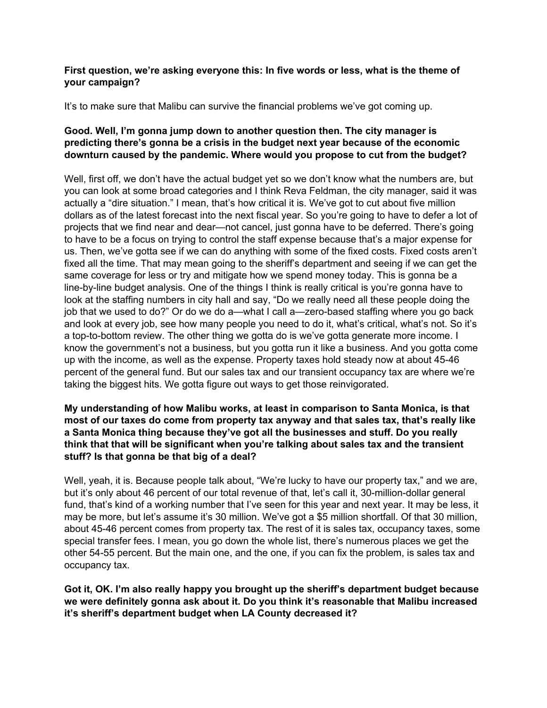#### **First question, we're asking everyone this: In five words or less, what is the theme of your campaign?**

It's to make sure that Malibu can survive the financial problems we've got coming up.

### **Good. Well, I'm gonna jump down to another question then. The city manager is predicting there's gonna be a crisis in the budget next year because of the economic downturn caused by the pandemic. Where would you propose to cut from the budget?**

Well, first off, we don't have the actual budget yet so we don't know what the numbers are, but you can look at some broad categories and I think Reva Feldman, the city manager, said it was actually a "dire situation." I mean, that's how critical it is. We've got to cut about five million dollars as of the latest forecast into the next fiscal year. So you're going to have to defer a lot of projects that we find near and dear—not cancel, just gonna have to be deferred. There's going to have to be a focus on trying to control the staff expense because that's a major expense for us. Then, we've gotta see if we can do anything with some of the fixed costs. Fixed costs aren't fixed all the time. That may mean going to the sheriff's department and seeing if we can get the same coverage for less or try and mitigate how we spend money today. This is gonna be a line-by-line budget analysis. One of the things I think is really critical is you're gonna have to look at the staffing numbers in city hall and say, "Do we really need all these people doing the job that we used to do?" Or do we do a—what I call a—zero-based staffing where you go back and look at every job, see how many people you need to do it, what's critical, what's not. So it's a top-to-bottom review. The other thing we gotta do is we've gotta generate more income. I know the government's not a business, but you gotta run it like a business. And you gotta come up with the income, as well as the expense. Property taxes hold steady now at about 45-46 percent of the general fund. But our sales tax and our transient occupancy tax are where we're taking the biggest hits. We gotta figure out ways to get those reinvigorated.

### **My understanding of how Malibu works, at least in comparison to Santa Monica, is that most of our taxes do come from property tax anyway and that sales tax, that's really like a Santa Monica thing because they've got all the businesses and stuff. Do you really think that that will be significant when you're talking about sales tax and the transient stuff? Is that gonna be that big of a deal?**

Well, yeah, it is. Because people talk about, "We're lucky to have our property tax," and we are, but it's only about 46 percent of our total revenue of that, let's call it, 30-million-dollar general fund, that's kind of a working number that I've seen for this year and next year. It may be less, it may be more, but let's assume it's 30 million. We've got a \$5 million shortfall. Of that 30 million, about 45-46 percent comes from property tax. The rest of it is sales tax, occupancy taxes, some special transfer fees. I mean, you go down the whole list, there's numerous places we get the other 54-55 percent. But the main one, and the one, if you can fix the problem, is sales tax and occupancy tax.

**Got it, OK. I'm also really happy you brought up the sheriff's department budget because we were definitely gonna ask about it. Do you think it's reasonable that Malibu increased it's sheriff's department budget when LA County decreased it?**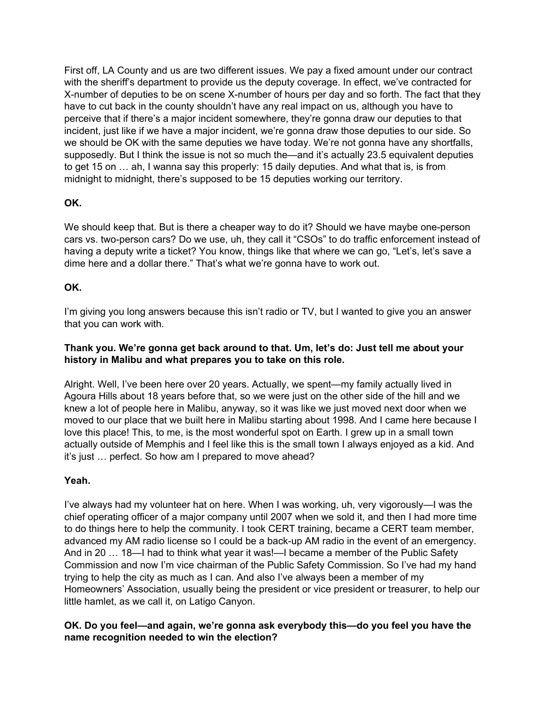First off, LA County and us are two different issues. We pay a fixed amount under our contract with the sheriff's department to provide us the deputy coverage. In effect, we've contracted for X-number of deputies to be on scene X-number of hours per day and so forth. The fact that they have to cut back in the county shouldn't have any real impact on us, although you have to perceive that if there's a major incident somewhere, they're gonna draw our deputies to that incident, just like if we have a major incident, we're gonna draw those deputies to our side. So we should be OK with the same deputies we have today. We're not gonna have any shortfalls, supposedly. But I think the issue is not so much the—and it's actually 23.5 equivalent deputies to get 15 on … ah, I wanna say this properly: 15 daily deputies. And what that is, is from midnight to midnight, there's supposed to be 15 deputies working our territory.

### **OK.**

We should keep that. But is there a cheaper way to do it? Should we have maybe one-person cars vs. two-person cars? Do we use, uh, they call it "CSOs" to do traffic enforcement instead of having a deputy write a ticket? You know, things like that where we can go, "Let's, let's save a dime here and a dollar there." That's what we're gonna have to work out.

### **OK.**

I'm giving you long answers because this isn't radio or TV, but I wanted to give you an answer that you can work with.

### **Thank you. We're gonna get back around to that. Um, let's do: Just tell me about your history in Malibu and what prepares you to take on this role.**

Alright. Well, I've been here over 20 years. Actually, we spent—my family actually lived in Agoura Hills about 18 years before that, so we were just on the other side of the hill and we knew a lot of people here in Malibu, anyway, so it was like we just moved next door when we moved to our place that we built here in Malibu starting about 1998. And I came here because I love this place! This, to me, is the most wonderful spot on Earth. I grew up in a small town actually outside of Memphis and I feel like this is the small town I always enjoyed as a kid. And it's just … perfect. So how am I prepared to move ahead?

#### **Yeah.**

I've always had my volunteer hat on here. When I was working, uh, very vigorously—I was the chief operating officer of a major company until 2007 when we sold it, and then I had more time to do things here to help the community. I took CERT training, became a CERT team member, advanced my AM radio license so I could be a back-up AM radio in the event of an emergency. And in 20 … 18—I had to think what year it was!—I became a member of the Public Safety Commission and now I'm vice chairman of the Public Safety Commission. So I've had my hand trying to help the city as much as I can. And also I've always been a member of my Homeowners' Association, usually being the president or vice president or treasurer, to help our little hamlet, as we call it, on Latigo Canyon.

### **OK. Do you feel—and again, we're gonna ask everybody this—do you feel you have the name recognition needed to win the election?**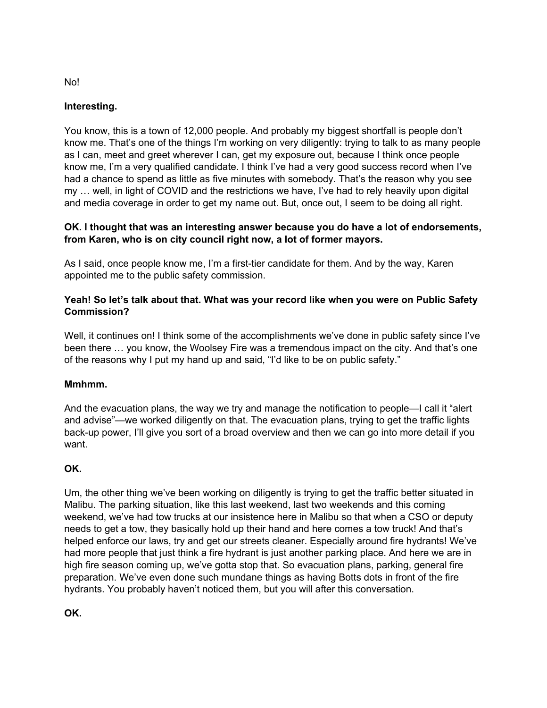# **Interesting.**

You know, this is a town of 12,000 people. And probably my biggest shortfall is people don't know me. That's one of the things I'm working on very diligently: trying to talk to as many people as I can, meet and greet wherever I can, get my exposure out, because I think once people know me, I'm a very qualified candidate. I think I've had a very good success record when I've had a chance to spend as little as five minutes with somebody. That's the reason why you see my … well, in light of COVID and the restrictions we have, I've had to rely heavily upon digital and media coverage in order to get my name out. But, once out, I seem to be doing all right.

### **OK. I thought that was an interesting answer because you do have a lot of endorsements, from Karen, who is on city council right now, a lot of former mayors.**

As I said, once people know me, I'm a first-tier candidate for them. And by the way, Karen appointed me to the public safety commission.

## **Yeah! So let's talk about that. What was your record like when you were on Public Safety Commission?**

Well, it continues on! I think some of the accomplishments we've done in public safety since I've been there … you know, the Woolsey Fire was a tremendous impact on the city. And that's one of the reasons why I put my hand up and said, "I'd like to be on public safety."

# **Mmhmm.**

And the evacuation plans, the way we try and manage the notification to people—I call it "alert and advise"—we worked diligently on that. The evacuation plans, trying to get the traffic lights back-up power, I'll give you sort of a broad overview and then we can go into more detail if you want.

# **OK.**

Um, the other thing we've been working on diligently is trying to get the traffic better situated in Malibu. The parking situation, like this last weekend, last two weekends and this coming weekend, we've had tow trucks at our insistence here in Malibu so that when a CSO or deputy needs to get a tow, they basically hold up their hand and here comes a tow truck! And that's helped enforce our laws, try and get our streets cleaner. Especially around fire hydrants! We've had more people that just think a fire hydrant is just another parking place. And here we are in high fire season coming up, we've gotta stop that. So evacuation plans, parking, general fire preparation. We've even done such mundane things as having Botts dots in front of the fire hydrants. You probably haven't noticed them, but you will after this conversation.

**OK.**

No!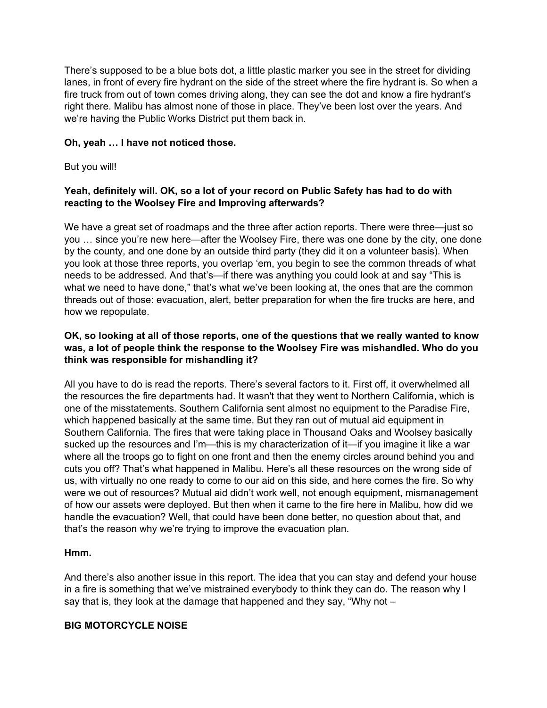There's supposed to be a blue bots dot, a little plastic marker you see in the street for dividing lanes, in front of every fire hydrant on the side of the street where the fire hydrant is. So when a fire truck from out of town comes driving along, they can see the dot and know a fire hydrant's right there. Malibu has almost none of those in place. They've been lost over the years. And we're having the Public Works District put them back in.

### **Oh, yeah … I have not noticed those.**

But you will!

### **Yeah, definitely will. OK, so a lot of your record on Public Safety has had to do with reacting to the Woolsey Fire and Improving afterwards?**

We have a great set of roadmaps and the three after action reports. There were three—just so you … since you're new here—after the Woolsey Fire, there was one done by the city, one done by the county, and one done by an outside third party (they did it on a volunteer basis). When you look at those three reports, you overlap 'em, you begin to see the common threads of what needs to be addressed. And that's—if there was anything you could look at and say "This is what we need to have done," that's what we've been looking at, the ones that are the common threads out of those: evacuation, alert, better preparation for when the fire trucks are here, and how we repopulate.

### **OK, so looking at all of those reports, one of the questions that we really wanted to know was, a lot of people think the response to the Woolsey Fire was mishandled. Who do you think was responsible for mishandling it?**

All you have to do is read the reports. There's several factors to it. First off, it overwhelmed all the resources the fire departments had. It wasn't that they went to Northern California, which is one of the misstatements. Southern California sent almost no equipment to the Paradise Fire, which happened basically at the same time. But they ran out of mutual aid equipment in Southern California. The fires that were taking place in Thousand Oaks and Woolsey basically sucked up the resources and I'm—this is my characterization of it—if you imagine it like a war where all the troops go to fight on one front and then the enemy circles around behind you and cuts you off? That's what happened in Malibu. Here's all these resources on the wrong side of us, with virtually no one ready to come to our aid on this side, and here comes the fire. So why were we out of resources? Mutual aid didn't work well, not enough equipment, mismanagement of how our assets were deployed. But then when it came to the fire here in Malibu, how did we handle the evacuation? Well, that could have been done better, no question about that, and that's the reason why we're trying to improve the evacuation plan.

#### **Hmm.**

And there's also another issue in this report. The idea that you can stay and defend your house in a fire is something that we've mistrained everybody to think they can do. The reason why I say that is, they look at the damage that happened and they say, "Why not –

#### **BIG MOTORCYCLE NOISE**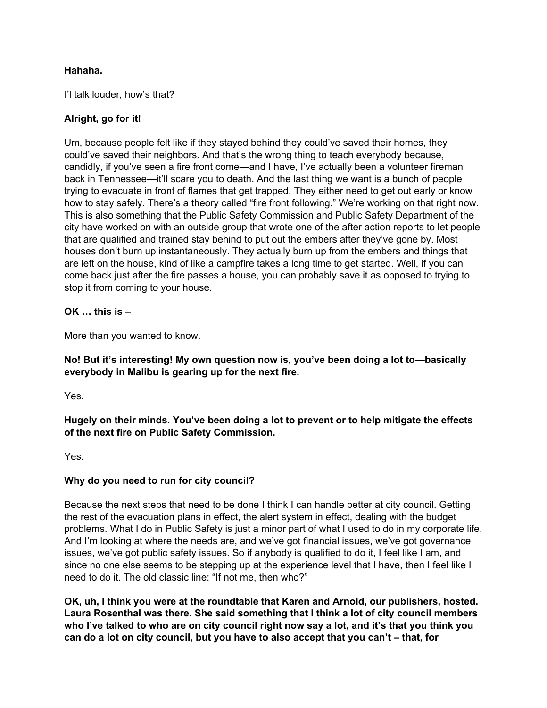## **Hahaha.**

I'l talk louder, how's that?

## **Alright, go for it!**

Um, because people felt like if they stayed behind they could've saved their homes, they could've saved their neighbors. And that's the wrong thing to teach everybody because, candidly, if you've seen a fire front come—and I have, I've actually been a volunteer fireman back in Tennessee—it'll scare you to death. And the last thing we want is a bunch of people trying to evacuate in front of flames that get trapped. They either need to get out early or know how to stay safely. There's a theory called "fire front following." We're working on that right now. This is also something that the Public Safety Commission and Public Safety Department of the city have worked on with an outside group that wrote one of the after action reports to let people that are qualified and trained stay behind to put out the embers after they've gone by. Most houses don't burn up instantaneously. They actually burn up from the embers and things that are left on the house, kind of like a campfire takes a long time to get started. Well, if you can come back just after the fire passes a house, you can probably save it as opposed to trying to stop it from coming to your house.

**OK … this is –**

More than you wanted to know.

**No! But it's interesting! My own question now is, you've been doing a lot to—basically everybody in Malibu is gearing up for the next fire.**

Yes.

**Hugely on their minds. You've been doing a lot to prevent or to help mitigate the effects of the next fire on Public Safety Commission.**

Yes.

#### **Why do you need to run for city council?**

Because the next steps that need to be done I think I can handle better at city council. Getting the rest of the evacuation plans in effect, the alert system in effect, dealing with the budget problems. What I do in Public Safety is just a minor part of what I used to do in my corporate life. And I'm looking at where the needs are, and we've got financial issues, we've got governance issues, we've got public safety issues. So if anybody is qualified to do it, I feel like I am, and since no one else seems to be stepping up at the experience level that I have, then I feel like I need to do it. The old classic line: "If not me, then who?"

**OK, uh, I think you were at the roundtable that Karen and Arnold, our publishers, hosted. Laura Rosenthal was there. She said something that I think a lot of city council members** who I've talked to who are on city council right now say a lot, and it's that you think you **can do a lot on city council, but you have to also accept that you can't – that, for**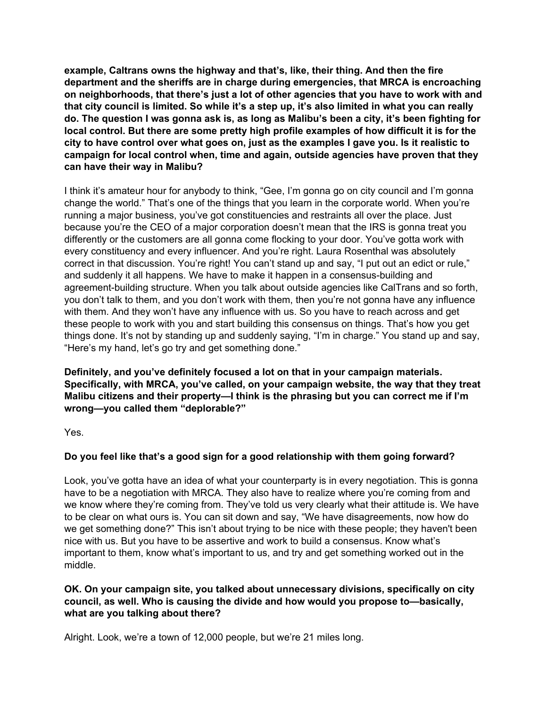**example, Caltrans owns the highway and that's, like, their thing. And then the fire department and the sheriffs are in charge during emergencies, that MRCA is encroaching on neighborhoods, that there's just a lot of other agencies that you have to work with and** that city council is limited. So while it's a step up, it's also limited in what you can really do. The question I was gonna ask is, as long as Malibu's been a city, it's been fighting for **local control. But there are some pretty high profile examples of how difficult it is for the city to have control over what goes on, just as the examples I gave you. Is it realistic to campaign for local control when, time and again, outside agencies have proven that they can have their way in Malibu?**

I think it's amateur hour for anybody to think, "Gee, I'm gonna go on city council and I'm gonna change the world." That's one of the things that you learn in the corporate world. When you're running a major business, you've got constituencies and restraints all over the place. Just because you're the CEO of a major corporation doesn't mean that the IRS is gonna treat you differently or the customers are all gonna come flocking to your door. You've gotta work with every constituency and every influencer. And you're right. Laura Rosenthal was absolutely correct in that discussion. You're right! You can't stand up and say, "I put out an edict or rule," and suddenly it all happens. We have to make it happen in a consensus-building and agreement-building structure. When you talk about outside agencies like CalTrans and so forth, you don't talk to them, and you don't work with them, then you're not gonna have any influence with them. And they won't have any influence with us. So you have to reach across and get these people to work with you and start building this consensus on things. That's how you get things done. It's not by standing up and suddenly saying, "I'm in charge." You stand up and say, "Here's my hand, let's go try and get something done."

**Definitely, and you've definitely focused a lot on that in your campaign materials. Specifically, with MRCA, you've called, on your campaign website, the way that they treat Malibu citizens and their property—I think is the phrasing but you can correct me if I'm wrong—you called them "deplorable?"**

Yes.

# **Do you feel like that's a good sign for a good relationship with them going forward?**

Look, you've gotta have an idea of what your counterparty is in every negotiation. This is gonna have to be a negotiation with MRCA. They also have to realize where you're coming from and we know where they're coming from. They've told us very clearly what their attitude is. We have to be clear on what ours is. You can sit down and say, "We have disagreements, now how do we get something done?" This isn't about trying to be nice with these people; they haven't been nice with us. But you have to be assertive and work to build a consensus. Know what's important to them, know what's important to us, and try and get something worked out in the middle.

### **OK. On your campaign site, you talked about unnecessary divisions, specifically on city council, as well. Who is causing the divide and how would you propose to—basically, what are you talking about there?**

Alright. Look, we're a town of 12,000 people, but we're 21 miles long.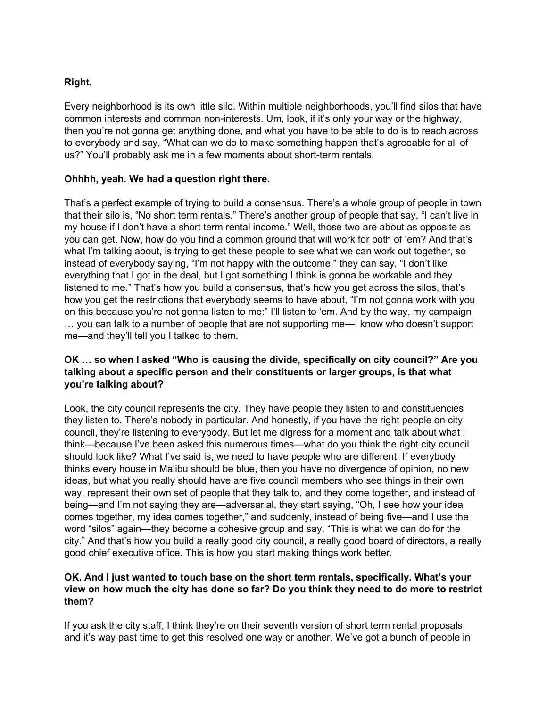### **Right.**

Every neighborhood is its own little silo. Within multiple neighborhoods, you'll find silos that have common interests and common non-interests. Um, look, if it's only your way or the highway, then you're not gonna get anything done, and what you have to be able to do is to reach across to everybody and say, "What can we do to make something happen that's agreeable for all of us?" You'll probably ask me in a few moments about short-term rentals.

### **Ohhhh, yeah. We had a question right there.**

That's a perfect example of trying to build a consensus. There's a whole group of people in town that their silo is, "No short term rentals." There's another group of people that say, "I can't live in my house if I don't have a short term rental income." Well, those two are about as opposite as you can get. Now, how do you find a common ground that will work for both of 'em? And that's what I'm talking about, is trying to get these people to see what we can work out together, so instead of everybody saying, "I'm not happy with the outcome," they can say, "I don't like everything that I got in the deal, but I got something I think is gonna be workable and they listened to me." That's how you build a consensus, that's how you get across the silos, that's how you get the restrictions that everybody seems to have about, "I'm not gonna work with you on this because you're not gonna listen to me:" I'll listen to 'em. And by the way, my campaign … you can talk to a number of people that are not supporting me—I know who doesn't support me—and they'll tell you I talked to them.

### **OK … so when I asked "Who is causing the divide, specifically on city council?" Are you talking about a specific person and their constituents or larger groups, is that what you're talking about?**

Look, the city council represents the city. They have people they listen to and constituencies they listen to. There's nobody in particular. And honestly, if you have the right people on city council, they're listening to everybody. But let me digress for a moment and talk about what I think—because I've been asked this numerous times—what do you think the right city council should look like? What I've said is, we need to have people who are different. If everybody thinks every house in Malibu should be blue, then you have no divergence of opinion, no new ideas, but what you really should have are five council members who see things in their own way, represent their own set of people that they talk to, and they come together, and instead of being—and I'm not saying they are—adversarial, they start saying, "Oh, I see how your idea comes together, my idea comes together," and suddenly, instead of being five—and I use the word "silos" again—they become a cohesive group and say, "This is what we can do for the city." And that's how you build a really good city council, a really good board of directors, a really good chief executive office. This is how you start making things work better.

#### **OK. And I just wanted to touch base on the short term rentals, specifically. What's your** view on how much the city has done so far? Do you think they need to do more to restrict **them?**

If you ask the city staff, I think they're on their seventh version of short term rental proposals, and it's way past time to get this resolved one way or another. We've got a bunch of people in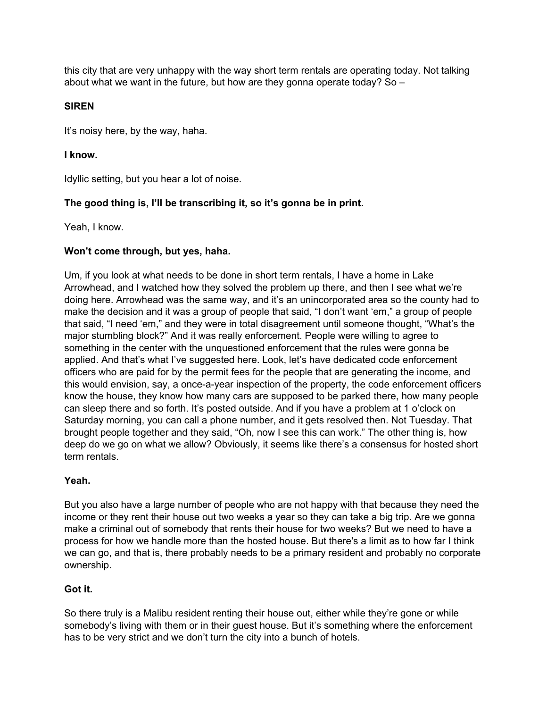this city that are very unhappy with the way short term rentals are operating today. Not talking about what we want in the future, but how are they gonna operate today? So –

## **SIREN**

It's noisy here, by the way, haha.

### **I know.**

Idyllic setting, but you hear a lot of noise.

# **The good thing is, I'll be transcribing it, so it's gonna be in print.**

Yeah, I know.

# **Won't come through, but yes, haha.**

Um, if you look at what needs to be done in short term rentals, I have a home in Lake Arrowhead, and I watched how they solved the problem up there, and then I see what we're doing here. Arrowhead was the same way, and it's an unincorporated area so the county had to make the decision and it was a group of people that said, "I don't want 'em," a group of people that said, "I need 'em," and they were in total disagreement until someone thought, "What's the major stumbling block?" And it was really enforcement. People were willing to agree to something in the center with the unquestioned enforcement that the rules were gonna be applied. And that's what I've suggested here. Look, let's have dedicated code enforcement officers who are paid for by the permit fees for the people that are generating the income, and this would envision, say, a once-a-year inspection of the property, the code enforcement officers know the house, they know how many cars are supposed to be parked there, how many people can sleep there and so forth. It's posted outside. And if you have a problem at 1 o'clock on Saturday morning, you can call a phone number, and it gets resolved then. Not Tuesday. That brought people together and they said, "Oh, now I see this can work." The other thing is, how deep do we go on what we allow? Obviously, it seems like there's a consensus for hosted short term rentals.

#### **Yeah.**

But you also have a large number of people who are not happy with that because they need the income or they rent their house out two weeks a year so they can take a big trip. Are we gonna make a criminal out of somebody that rents their house for two weeks? But we need to have a process for how we handle more than the hosted house. But there's a limit as to how far I think we can go, and that is, there probably needs to be a primary resident and probably no corporate ownership.

# **Got it.**

So there truly is a Malibu resident renting their house out, either while they're gone or while somebody's living with them or in their guest house. But it's something where the enforcement has to be very strict and we don't turn the city into a bunch of hotels.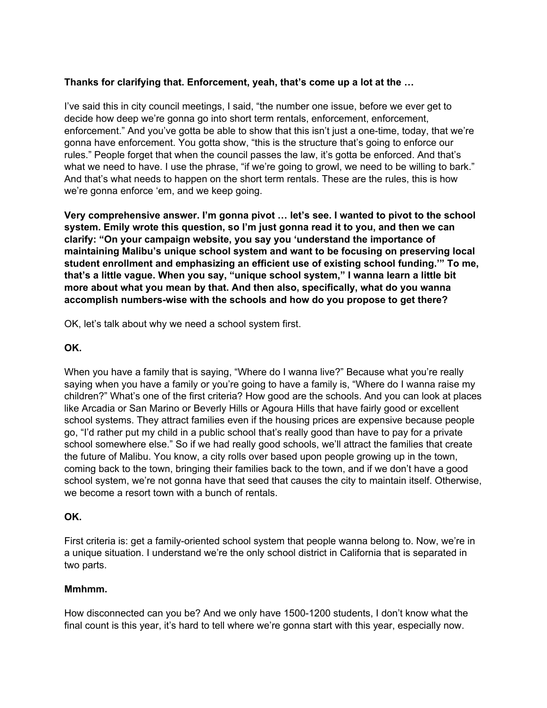### **Thanks for clarifying that. Enforcement, yeah, that's come up a lot at the …**

I've said this in city council meetings, I said, "the number one issue, before we ever get to decide how deep we're gonna go into short term rentals, enforcement, enforcement, enforcement." And you've gotta be able to show that this isn't just a one-time, today, that we're gonna have enforcement. You gotta show, "this is the structure that's going to enforce our rules." People forget that when the council passes the law, it's gotta be enforced. And that's what we need to have. I use the phrase, "if we're going to growl, we need to be willing to bark." And that's what needs to happen on the short term rentals. These are the rules, this is how we're gonna enforce 'em, and we keep going.

**Very comprehensive answer. I'm gonna pivot … let's see. I wanted to pivot to the school system. Emily wrote this question, so I'm just gonna read it to you, and then we can clarify: "On your campaign website, you say you 'understand the importance of maintaining Malibu's unique school system and want to be focusing on preserving local student enrollment and emphasizing an efficient use of existing school funding.'" To me, that's a little vague. When you say, "unique school system," I wanna learn a little bit more about what you mean by that. And then also, specifically, what do you wanna accomplish numbers-wise with the schools and how do you propose to get there?**

OK, let's talk about why we need a school system first.

#### **OK.**

When you have a family that is saying, "Where do I wanna live?" Because what you're really saying when you have a family or you're going to have a family is, "Where do I wanna raise my children?" What's one of the first criteria? How good are the schools. And you can look at places like Arcadia or San Marino or Beverly Hills or Agoura Hills that have fairly good or excellent school systems. They attract families even if the housing prices are expensive because people go, "I'd rather put my child in a public school that's really good than have to pay for a private school somewhere else." So if we had really good schools, we'll attract the families that create the future of Malibu. You know, a city rolls over based upon people growing up in the town, coming back to the town, bringing their families back to the town, and if we don't have a good school system, we're not gonna have that seed that causes the city to maintain itself. Otherwise, we become a resort town with a bunch of rentals.

#### **OK.**

First criteria is: get a family-oriented school system that people wanna belong to. Now, we're in a unique situation. I understand we're the only school district in California that is separated in two parts.

#### **Mmhmm.**

How disconnected can you be? And we only have 1500-1200 students, I don't know what the final count is this year, it's hard to tell where we're gonna start with this year, especially now.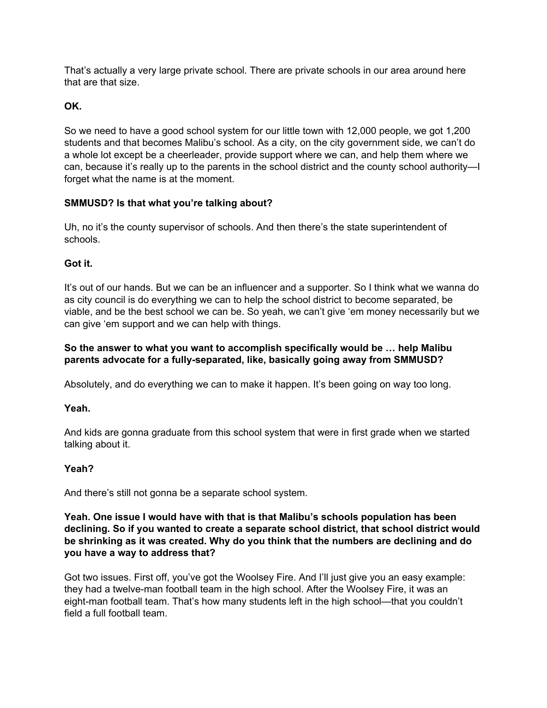That's actually a very large private school. There are private schools in our area around here that are that size.

# **OK.**

So we need to have a good school system for our little town with 12,000 people, we got 1,200 students and that becomes Malibu's school. As a city, on the city government side, we can't do a whole lot except be a cheerleader, provide support where we can, and help them where we can, because it's really up to the parents in the school district and the county school authority—I forget what the name is at the moment.

# **SMMUSD? Is that what you're talking about?**

Uh, no it's the county supervisor of schools. And then there's the state superintendent of schools.

# **Got it.**

It's out of our hands. But we can be an influencer and a supporter. So I think what we wanna do as city council is do everything we can to help the school district to become separated, be viable, and be the best school we can be. So yeah, we can't give 'em money necessarily but we can give 'em support and we can help with things.

## **So the answer to what you want to accomplish specifically would be … help Malibu parents advocate for a fully-separated, like, basically going away from SMMUSD?**

Absolutely, and do everything we can to make it happen. It's been going on way too long.

# **Yeah.**

And kids are gonna graduate from this school system that were in first grade when we started talking about it.

# **Yeah?**

And there's still not gonna be a separate school system.

**Yeah. One issue I would have with that is that Malibu's schools population has been declining. So if you wanted to create a separate school district, that school district would be shrinking as it was created. Why do you think that the numbers are declining and do you have a way to address that?**

Got two issues. First off, you've got the Woolsey Fire. And I'll just give you an easy example: they had a twelve-man football team in the high school. After the Woolsey Fire, it was an eight-man football team. That's how many students left in the high school—that you couldn't field a full football team.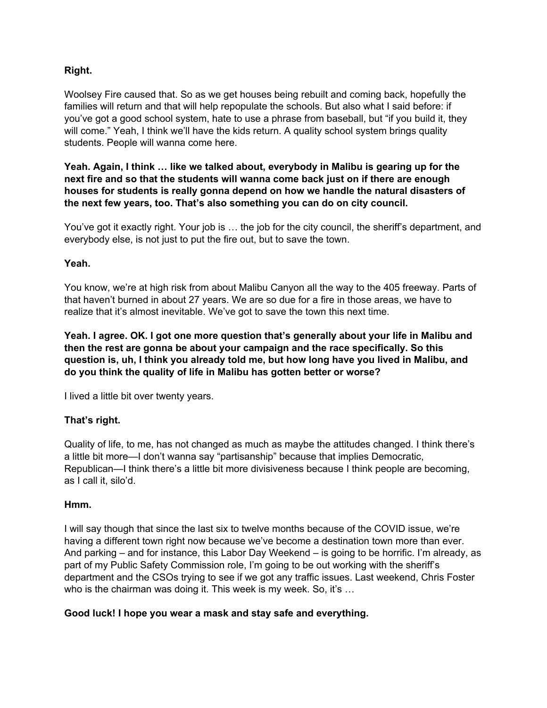### **Right.**

Woolsey Fire caused that. So as we get houses being rebuilt and coming back, hopefully the families will return and that will help repopulate the schools. But also what I said before: if you've got a good school system, hate to use a phrase from baseball, but "if you build it, they will come." Yeah, I think we'll have the kids return. A quality school system brings quality students. People will wanna come here.

**Yeah. Again, I think … like we talked about, everybody in Malibu is gearing up for the next fire and so that the students will wanna come back just on if there are enough houses for students is really gonna depend on how we handle the natural disasters of the next few years, too. That's also something you can do on city council.**

You've got it exactly right. Your job is … the job for the city council, the sheriff's department, and everybody else, is not just to put the fire out, but to save the town.

#### **Yeah.**

You know, we're at high risk from about Malibu Canyon all the way to the 405 freeway. Parts of that haven't burned in about 27 years. We are so due for a fire in those areas, we have to realize that it's almost inevitable. We've got to save the town this next time.

**Yeah. I agree. OK. I got one more question that's generally about your life in Malibu and then the rest are gonna be about your campaign and the race specifically. So this question is, uh, I think you already told me, but how long have you lived in Malibu, and do you think the quality of life in Malibu has gotten better or worse?**

I lived a little bit over twenty years.

#### **That's right.**

Quality of life, to me, has not changed as much as maybe the attitudes changed. I think there's a little bit more—I don't wanna say "partisanship" because that implies Democratic, Republican—I think there's a little bit more divisiveness because I think people are becoming, as I call it, silo'd.

#### **Hmm.**

I will say though that since the last six to twelve months because of the COVID issue, we're having a different town right now because we've become a destination town more than ever. And parking – and for instance, this Labor Day Weekend – is going to be horrific. I'm already, as part of my Public Safety Commission role, I'm going to be out working with the sheriff's department and the CSOs trying to see if we got any traffic issues. Last weekend, Chris Foster who is the chairman was doing it. This week is my week. So, it's ...

#### **Good luck! I hope you wear a mask and stay safe and everything.**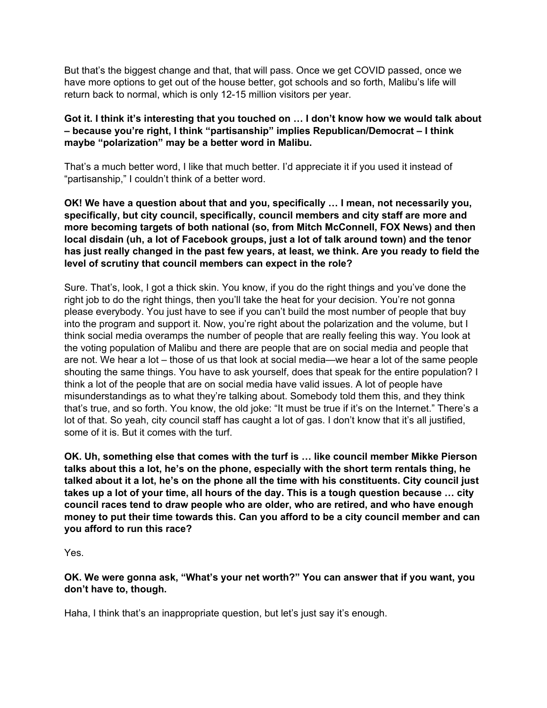But that's the biggest change and that, that will pass. Once we get COVID passed, once we have more options to get out of the house better, got schools and so forth, Malibu's life will return back to normal, which is only 12-15 million visitors per year.

### **Got it. I think it's interesting that you touched on … I don't know how we would talk about – because you're right, I think "partisanship" implies Republican/Democrat – I think maybe "polarization" may be a better word in Malibu.**

That's a much better word, I like that much better. I'd appreciate it if you used it instead of "partisanship," I couldn't think of a better word.

**OK! We have a question about that and you, specifically … I mean, not necessarily you, specifically, but city council, specifically, council members and city staff are more and more becoming targets of both national (so, from Mitch McConnell, FOX News) and then local disdain (uh, a lot of Facebook groups, just a lot of talk around town) and the tenor** has just really changed in the past few years, at least, we think. Are you ready to field the **level of scrutiny that council members can expect in the role?**

Sure. That's, look, I got a thick skin. You know, if you do the right things and you've done the right job to do the right things, then you'll take the heat for your decision. You're not gonna please everybody. You just have to see if you can't build the most number of people that buy into the program and support it. Now, you're right about the polarization and the volume, but I think social media overamps the number of people that are really feeling this way. You look at the voting population of Malibu and there are people that are on social media and people that are not. We hear a lot – those of us that look at social media—we hear a lot of the same people shouting the same things. You have to ask yourself, does that speak for the entire population? I think a lot of the people that are on social media have valid issues. A lot of people have misunderstandings as to what they're talking about. Somebody told them this, and they think that's true, and so forth. You know, the old joke: "It must be true if it's on the Internet." There's a lot of that. So yeah, city council staff has caught a lot of gas. I don't know that it's all justified, some of it is. But it comes with the turf.

**OK. Uh, something else that comes with the turf is … like council member Mikke Pierson talks about this a lot, he's on the phone, especially with the short term rentals thing, he talked about it a lot, he's on the phone all the time with his constituents. City council just** takes up a lot of your time, all hours of the day. This is a tough question because ... city **council races tend to draw people who are older, who are retired, and who have enough money to put their time towards this. Can you afford to be a city council member and can you afford to run this race?**

Yes.

**OK. We were gonna ask, "What's your net worth?" You can answer that if you want, you don't have to, though.**

Haha, I think that's an inappropriate question, but let's just say it's enough.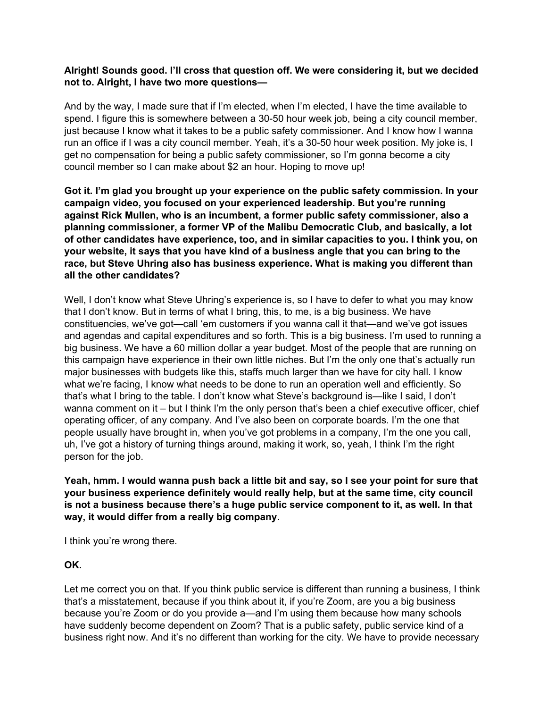### **Alright! Sounds good. I'll cross that question off. We were considering it, but we decided not to. Alright, I have two more questions—**

And by the way, I made sure that if I'm elected, when I'm elected, I have the time available to spend. I figure this is somewhere between a 30-50 hour week job, being a city council member, just because I know what it takes to be a public safety commissioner. And I know how I wanna run an office if I was a city council member. Yeah, it's a 30-50 hour week position. My joke is, I get no compensation for being a public safety commissioner, so I'm gonna become a city council member so I can make about \$2 an hour. Hoping to move up!

**Got it. I'm glad you brought up your experience on the public safety commission. In your campaign video, you focused on your experienced leadership. But you're running against Rick Mullen, who is an incumbent, a former public safety commissioner, also a planning commissioner, a former VP of the Malibu Democratic Club, and basically, a lot of other candidates have experience, too, and in similar capacities to you. I think you, on your website, it says that you have kind of a business angle that you can bring to the race, but Steve Uhring also has business experience. What is making you different than all the other candidates?**

Well, I don't know what Steve Uhring's experience is, so I have to defer to what you may know that I don't know. But in terms of what I bring, this, to me, is a big business. We have constituencies, we've got—call 'em customers if you wanna call it that—and we've got issues and agendas and capital expenditures and so forth. This is a big business. I'm used to running a big business. We have a 60 million dollar a year budget. Most of the people that are running on this campaign have experience in their own little niches. But I'm the only one that's actually run major businesses with budgets like this, staffs much larger than we have for city hall. I know what we're facing, I know what needs to be done to run an operation well and efficiently. So that's what I bring to the table. I don't know what Steve's background is—like I said, I don't wanna comment on it – but I think I'm the only person that's been a chief executive officer, chief operating officer, of any company. And I've also been on corporate boards. I'm the one that people usually have brought in, when you've got problems in a company, I'm the one you call, uh, I've got a history of turning things around, making it work, so, yeah, I think I'm the right person for the job.

Yeah, hmm. I would wanna push back a little bit and say, so I see your point for sure that **your business experience definitely would really help, but at the same time, city council is not a business because there's a huge public service component to it, as well. In that way, it would differ from a really big company.**

I think you're wrong there.

#### **OK.**

Let me correct you on that. If you think public service is different than running a business, I think that's a misstatement, because if you think about it, if you're Zoom, are you a big business because you're Zoom or do you provide a—and I'm using them because how many schools have suddenly become dependent on Zoom? That is a public safety, public service kind of a business right now. And it's no different than working for the city. We have to provide necessary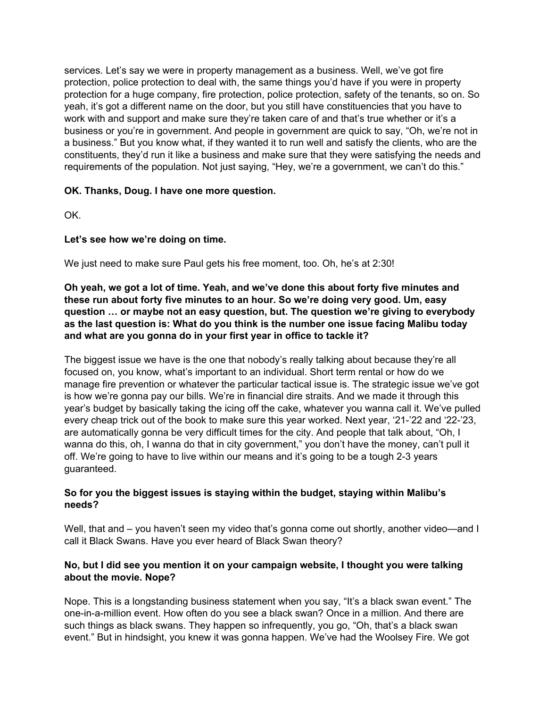services. Let's say we were in property management as a business. Well, we've got fire protection, police protection to deal with, the same things you'd have if you were in property protection for a huge company, fire protection, police protection, safety of the tenants, so on. So yeah, it's got a different name on the door, but you still have constituencies that you have to work with and support and make sure they're taken care of and that's true whether or it's a business or you're in government. And people in government are quick to say, "Oh, we're not in a business." But you know what, if they wanted it to run well and satisfy the clients, who are the constituents, they'd run it like a business and make sure that they were satisfying the needs and requirements of the population. Not just saying, "Hey, we're a government, we can't do this."

### **OK. Thanks, Doug. I have one more question.**

OK.

### **Let's see how we're doing on time.**

We just need to make sure Paul gets his free moment, too. Oh, he's at 2:30!

**Oh yeah, we got a lot of time. Yeah, and we've done this about forty five minutes and these run about forty five minutes to an hour. So we're doing very good. Um, easy question … or maybe not an easy question, but. The question we're giving to everybody as the last question is: What do you think is the number one issue facing Malibu today and what are you gonna do in your first year in office to tackle it?**

The biggest issue we have is the one that nobody's really talking about because they're all focused on, you know, what's important to an individual. Short term rental or how do we manage fire prevention or whatever the particular tactical issue is. The strategic issue we've got is how we're gonna pay our bills. We're in financial dire straits. And we made it through this year's budget by basically taking the icing off the cake, whatever you wanna call it. We've pulled every cheap trick out of the book to make sure this year worked. Next year, '21-'22 and '22-'23, are automatically gonna be very difficult times for the city. And people that talk about, "Oh, I wanna do this, oh, I wanna do that in city government," you don't have the money, can't pull it off. We're going to have to live within our means and it's going to be a tough 2-3 years guaranteed.

#### **So for you the biggest issues is staying within the budget, staying within Malibu's needs?**

Well, that and – you haven't seen my video that's gonna come out shortly, another video—and I call it Black Swans. Have you ever heard of Black Swan theory?

### **No, but I did see you mention it on your campaign website, I thought you were talking about the movie. Nope?**

Nope. This is a longstanding business statement when you say, "It's a black swan event." The one-in-a-million event. How often do you see a black swan? Once in a million. And there are such things as black swans. They happen so infrequently, you go, "Oh, that's a black swan event." But in hindsight, you knew it was gonna happen. We've had the Woolsey Fire. We got